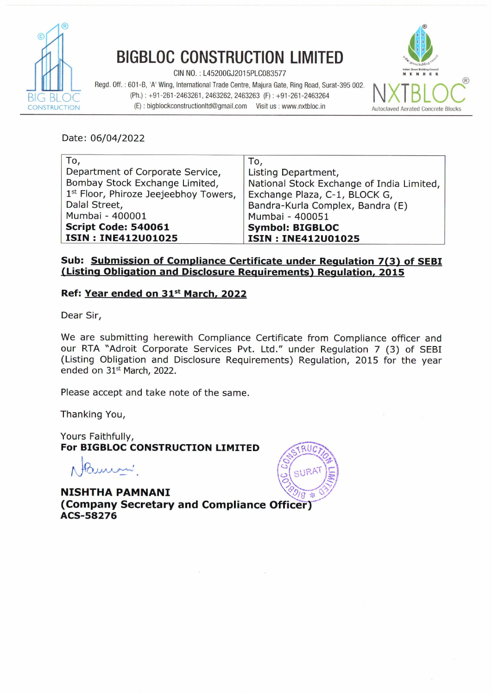

## **BIGBLOC CONSTRUCTION LIMITED**

 $CIN NO. : L45200GJ2015PLC083577$ 

Regd. **Off.** : 601 **-8,** 'A' Wing, International Trade Centre, Majura Gate, Ring Road, Surat-395 002. **(Ph.)** : +91-261-2463261,2463262,2463263 (F) : +91-261-2463264 **INSTRUCTION CONSTRUCTION CONSTRUCTION (F)** : **bigblockconstructionItd@gmail.com Visit us : www.nxtbloc.in Autoclaved Aerated Concrete Blocks** 



Date: **06/04/2022** 

| To,                                   | To,                                       |
|---------------------------------------|-------------------------------------------|
| Department of Corporate Service,      | Listing Department,                       |
| Bombay Stock Exchange Limited,        | National Stock Exchange of India Limited, |
| 1st Floor, Phiroze Jeejeebhoy Towers, | Exchange Plaza, C-1, BLOCK G,             |
| Dalal Street,                         | Bandra-Kurla Complex, Bandra (E)          |
| Mumbai - 400001                       | Mumbai - 400051                           |
| <b>Script Code: 540061</b>            | <b>Symbol: BIGBLOC</b>                    |
| <b>ISIN: INE412U01025</b>             | <b>ISIN: INE412U01025</b>                 |

## **Sub: Submission of Compliance Certificate under Regulation 7(3) of SEBI IListina Obliaation and Disclosure Reauirements) Reaulation. 2015**

## **Ref: Year ended on 31st March, 2022**

Dear Sir,

We are submitting herewith Compliance Certificate from Compliance officer and our RTA 'Adroit Corporate Services Pvt. Ltd." under Regulation 7 (3) of SEBI (Listing Obligation and Disclosure Requirements) Regulation, **2015** for the year ended on **31\*** March, **2022.** 

Please accept and take note of the same.

Thanking You,

Yours Faithfully, **For BIGBLOC~CONSTRUCTION LIMITED** 

#

**NISHTHA PAMNANI (Company Secretary and Compliance Officer) ACS-58276**